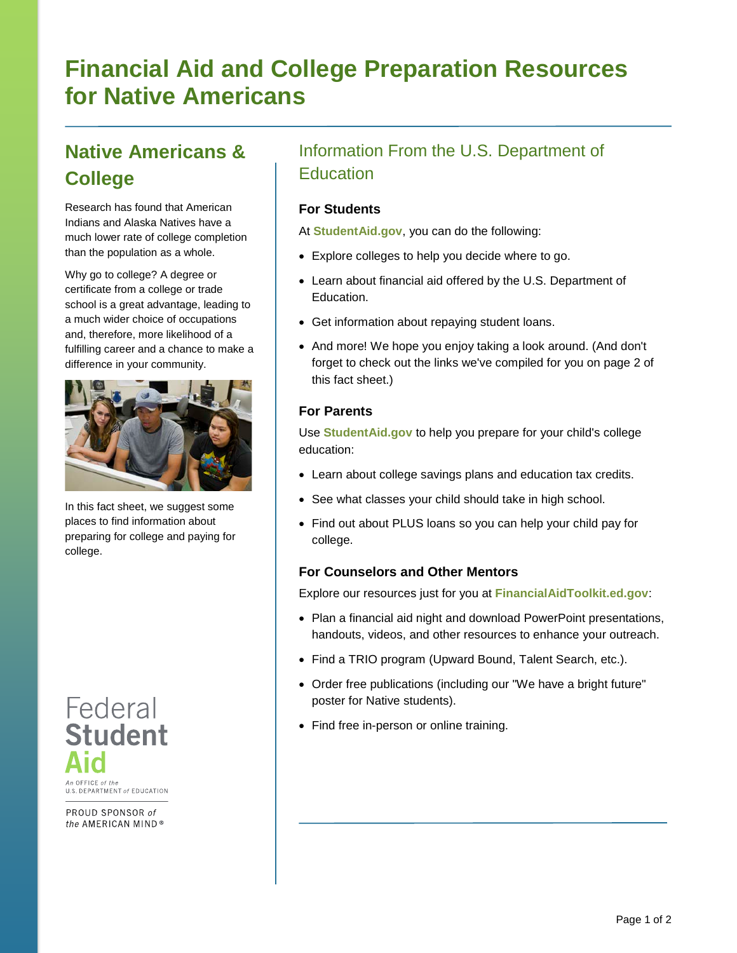# **Financial Aid and College Preparation Resources for Native Americans**

## **Native Americans & College**

Research has found that American Indians and Alaska Natives have a much lower rate of college completion than the population as a whole.

Why go to college? A degree or certificate from a college or trade school is a great advantage, leading to a much wider choice of occupations and, therefore, more likelihood of a fulfilling career and a chance to make a difference in your community.



In this fact sheet, we suggest some places to find information about preparing for college and paying for college.

# Federal **Student** An OFFICE of the

U.S. DEPARTMENT of EDUCATION

PROUD SPONSOR of the AMERICAN MIND®

## Information From the U.S. Department of **Education**

#### **For Students**

At **[StudentAid.gov](https://studentaid.ed.gov/)**, you can do the following:

- Explore colleges to help you decide where to go.
- Learn about financial aid offered by the U.S. Department of Education.
- Get information about repaying student loans.
- And more! We hope you enjoy taking a look around. (And don't forget to check out the links we've compiled for you on page 2 of this fact sheet.)

#### **For Parents**

Use **[StudentAid.gov](https://studentaid.ed.gov/)** to help you prepare for your child's college education:

- Learn about college savings plans and education tax credits.
- See what classes your child should take in high school.
- Find out about PLUS loans so you can help your child pay for college.

#### **For Counselors and Other Mentors**

Explore our resources just for you at **[FinancialAidToolkit.ed.gov](http://www.financialaidtoolkit.ed.gov/tk/)**:

- Plan a [financial aid night](http://www.fsa4counselors.ed.gov/clcf/PlanningAFinancialAidNight.html) and download PowerPoint presentations, handouts, videos, and other resources to enhance your outreach.
- [Find a TRIO program](http://www.fsa4counselors.ed.gov/clcf/TRIOPrograms.html) (Upward Bound, Talent Search, etc.).
- [Order free publications](http://www.fsapubs.org/) (including our "We have a bright future" [poster](http://www.studentaid.ed.gov/PORTALSWebApp/students/english/brightfuture.jsp) for Native students).
- Find free in-person or online training.